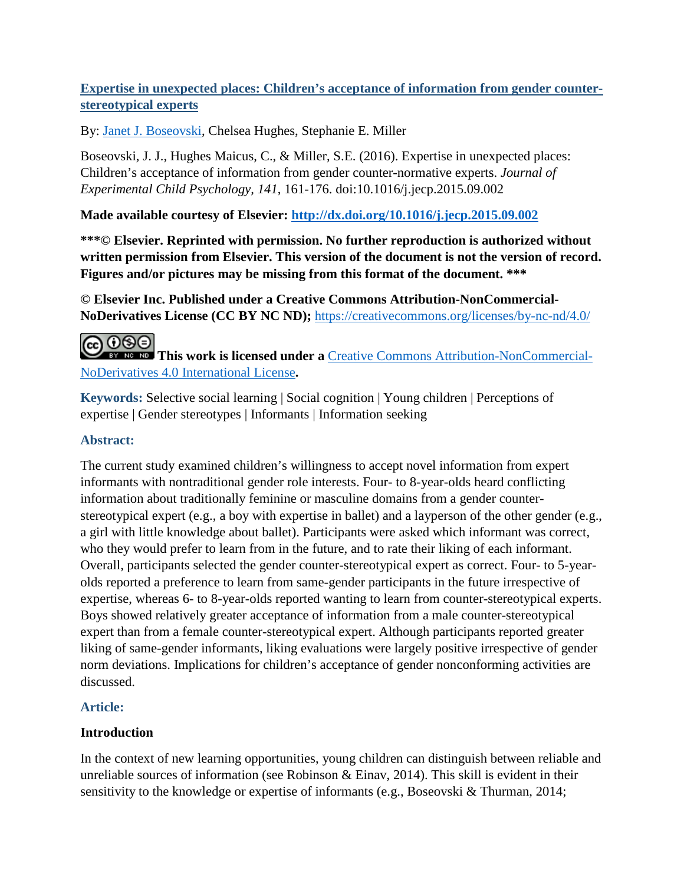## **Expertise in unexpected places: Children's acceptance of information from gender counterstereotypical experts**

By: [Janet J. Boseovski,](http://libres.uncg.edu/ir/uncg/clist.aspx?id=146) Chelsea Hughes, Stephanie E. Miller

Boseovski, J. J., Hughes Maicus, C., & Miller, S.E. (2016). Expertise in unexpected places: Children's acceptance of information from gender counter-normative experts. *Journal of Experimental Child Psychology, 141*, 161-176. doi:10.1016/j.jecp.2015.09.002

**Made available courtesy of Elsevier:<http://dx.doi.org/10.1016/j.jecp.2015.09.002>**

**\*\*\*© Elsevier. Reprinted with permission. No further reproduction is authorized without written permission from Elsevier. This version of the document is not the version of record. Figures and/or pictures may be missing from this format of the document. \*\*\***

**© Elsevier Inc. Published under a Creative Commons Attribution-NonCommercial-NoDerivatives License (CC BY NC ND);** <https://creativecommons.org/licenses/by-nc-nd/4.0/>

**@** 000 **This work is licensed under a** [Creative Commons Attribution-NonCommercial-](http://creativecommons.org/licenses/by-nc-nd/4.0/)[NoDerivatives 4.0 International License](http://creativecommons.org/licenses/by-nc-nd/4.0/)**.**

**Keywords:** Selective social learning | Social cognition | Young children | Perceptions of expertise | Gender stereotypes | Informants | Information seeking

## **Abstract:**

The current study examined children's willingness to accept novel information from expert informants with nontraditional gender role interests. Four- to 8-year-olds heard conflicting information about traditionally feminine or masculine domains from a gender counterstereotypical expert (e.g., a boy with expertise in ballet) and a layperson of the other gender (e.g., a girl with little knowledge about ballet). Participants were asked which informant was correct, who they would prefer to learn from in the future, and to rate their liking of each informant. Overall, participants selected the gender counter-stereotypical expert as correct. Four- to 5-yearolds reported a preference to learn from same-gender participants in the future irrespective of expertise, whereas 6- to 8-year-olds reported wanting to learn from counter-stereotypical experts. Boys showed relatively greater acceptance of information from a male counter-stereotypical expert than from a female counter-stereotypical expert. Although participants reported greater liking of same-gender informants, liking evaluations were largely positive irrespective of gender norm deviations. Implications for children's acceptance of gender nonconforming activities are discussed.

## **Article:**

# **Introduction**

In the context of new learning opportunities, young children can distinguish between reliable and unreliable sources of information (see Robinson & Einav, 2014). This skill is evident in their sensitivity to the knowledge or expertise of informants (e.g., Boseovski & Thurman, 2014;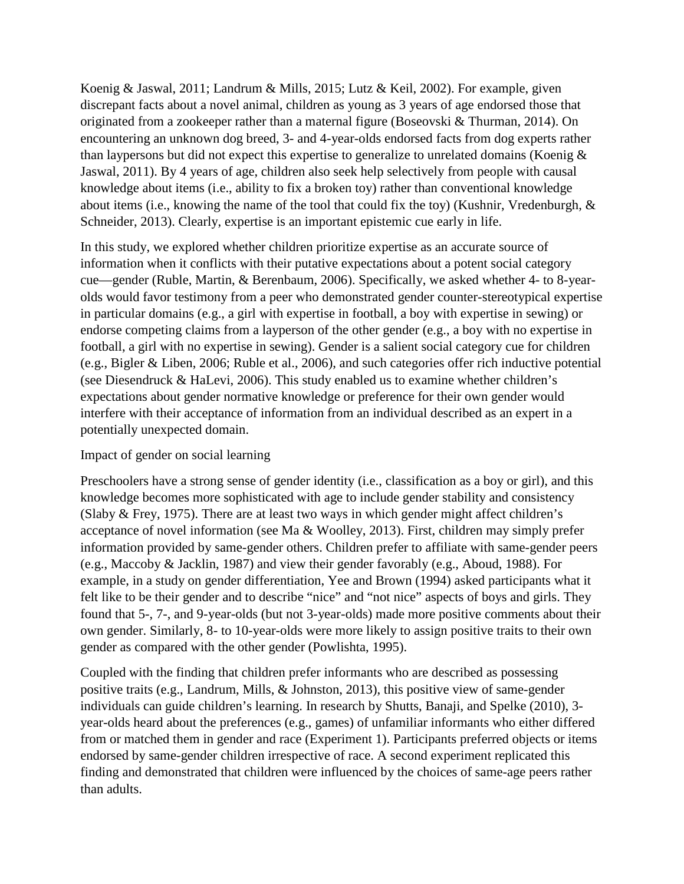Koenig & Jaswal, 2011; Landrum & Mills, 2015; Lutz & Keil, 2002). For example, given discrepant facts about a novel animal, children as young as 3 years of age endorsed those that originated from a zookeeper rather than a maternal figure (Boseovski & Thurman, 2014). On encountering an unknown dog breed, 3- and 4-year-olds endorsed facts from dog experts rather than laypersons but did not expect this expertise to generalize to unrelated domains (Koenig  $\&$ Jaswal, 2011). By 4 years of age, children also seek help selectively from people with causal knowledge about items (i.e., ability to fix a broken toy) rather than conventional knowledge about items (i.e., knowing the name of the tool that could fix the toy) (Kushnir, Vredenburgh, & Schneider, 2013). Clearly, expertise is an important epistemic cue early in life.

In this study, we explored whether children prioritize expertise as an accurate source of information when it conflicts with their putative expectations about a potent social category cue—gender (Ruble, Martin, & Berenbaum, 2006). Specifically, we asked whether 4- to 8-yearolds would favor testimony from a peer who demonstrated gender counter-stereotypical expertise in particular domains (e.g., a girl with expertise in football, a boy with expertise in sewing) or endorse competing claims from a layperson of the other gender (e.g., a boy with no expertise in football, a girl with no expertise in sewing). Gender is a salient social category cue for children (e.g., Bigler & Liben, 2006; Ruble et al., 2006), and such categories offer rich inductive potential (see Diesendruck & HaLevi, 2006). This study enabled us to examine whether children's expectations about gender normative knowledge or preference for their own gender would interfere with their acceptance of information from an individual described as an expert in a potentially unexpected domain.

### Impact of gender on social learning

Preschoolers have a strong sense of gender identity (i.e., classification as a boy or girl), and this knowledge becomes more sophisticated with age to include gender stability and consistency (Slaby & Frey, 1975). There are at least two ways in which gender might affect children's acceptance of novel information (see Ma & Woolley, 2013). First, children may simply prefer information provided by same-gender others. Children prefer to affiliate with same-gender peers (e.g., Maccoby & Jacklin, 1987) and view their gender favorably (e.g., Aboud, 1988). For example, in a study on gender differentiation, Yee and Brown (1994) asked participants what it felt like to be their gender and to describe "nice" and "not nice" aspects of boys and girls. They found that 5-, 7-, and 9-year-olds (but not 3-year-olds) made more positive comments about their own gender. Similarly, 8- to 10-year-olds were more likely to assign positive traits to their own gender as compared with the other gender (Powlishta, 1995).

Coupled with the finding that children prefer informants who are described as possessing positive traits (e.g., Landrum, Mills, & Johnston, 2013), this positive view of same-gender individuals can guide children's learning. In research by Shutts, Banaji, and Spelke (2010), 3 year-olds heard about the preferences (e.g., games) of unfamiliar informants who either differed from or matched them in gender and race (Experiment 1). Participants preferred objects or items endorsed by same-gender children irrespective of race. A second experiment replicated this finding and demonstrated that children were influenced by the choices of same-age peers rather than adults.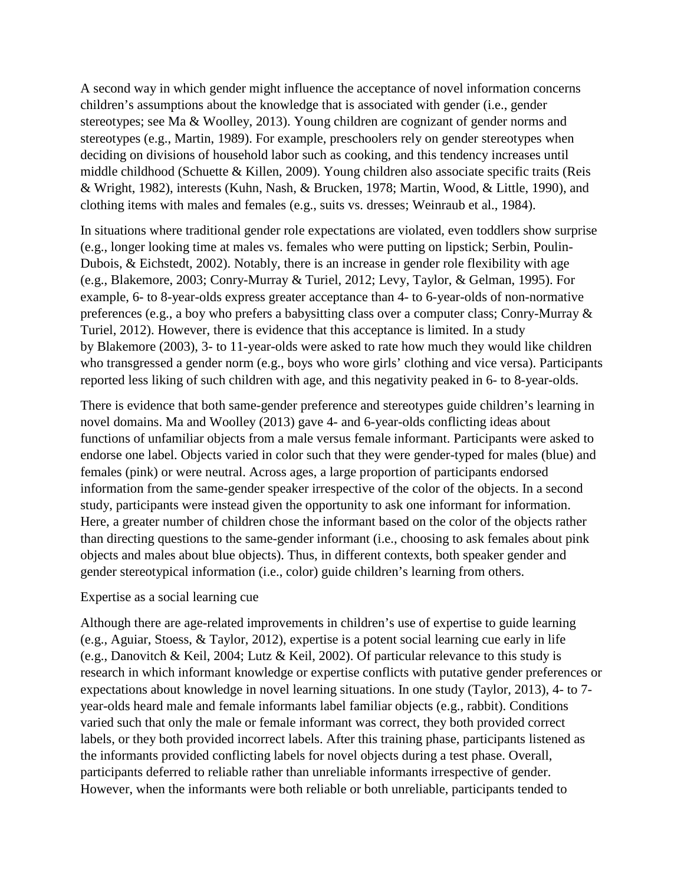A second way in which gender might influence the acceptance of novel information concerns children's assumptions about the knowledge that is associated with gender (i.e., gender stereotypes; see Ma & Woolley, 2013). Young children are cognizant of gender norms and stereotypes (e.g., Martin, 1989). For example, preschoolers rely on gender stereotypes when deciding on divisions of household labor such as cooking, and this tendency increases until middle childhood (Schuette & Killen, 2009). Young children also associate specific traits (Reis & Wright, 1982), interests (Kuhn, Nash, & Brucken, 1978; Martin, Wood, & Little, 1990), and clothing items with males and females (e.g., suits vs. dresses; Weinraub et al., 1984).

In situations where traditional gender role expectations are violated, even toddlers show surprise (e.g., longer looking time at males vs. females who were putting on lipstick; Serbin, Poulin-Dubois, & Eichstedt, 2002). Notably, there is an increase in gender role flexibility with age (e.g., Blakemore, 2003; Conry-Murray & Turiel, 2012; Levy, Taylor, & Gelman, 1995). For example, 6- to 8-year-olds express greater acceptance than 4- to 6-year-olds of non-normative preferences (e.g., a boy who prefers a babysitting class over a computer class; Conry-Murray & Turiel, 2012). However, there is evidence that this acceptance is limited. In a study by Blakemore (2003), 3- to 11-year-olds were asked to rate how much they would like children who transgressed a gender norm (e.g., boys who wore girls' clothing and vice versa). Participants reported less liking of such children with age, and this negativity peaked in 6- to 8-year-olds.

There is evidence that both same-gender preference and stereotypes guide children's learning in novel domains. Ma and Woolley (2013) gave 4- and 6-year-olds conflicting ideas about functions of unfamiliar objects from a male versus female informant. Participants were asked to endorse one label. Objects varied in color such that they were gender-typed for males (blue) and females (pink) or were neutral. Across ages, a large proportion of participants endorsed information from the same-gender speaker irrespective of the color of the objects. In a second study, participants were instead given the opportunity to ask one informant for information. Here, a greater number of children chose the informant based on the color of the objects rather than directing questions to the same-gender informant (i.e., choosing to ask females about pink objects and males about blue objects). Thus, in different contexts, both speaker gender and gender stereotypical information (i.e., color) guide children's learning from others.

#### Expertise as a social learning cue

Although there are age-related improvements in children's use of expertise to guide learning (e.g., Aguiar, Stoess, & Taylor, 2012), expertise is a potent social learning cue early in life (e.g., Danovitch & Keil, 2004; Lutz & Keil, 2002). Of particular relevance to this study is research in which informant knowledge or expertise conflicts with putative gender preferences or expectations about knowledge in novel learning situations. In one study (Taylor, 2013), 4- to 7 year-olds heard male and female informants label familiar objects (e.g., rabbit). Conditions varied such that only the male or female informant was correct, they both provided correct labels, or they both provided incorrect labels. After this training phase, participants listened as the informants provided conflicting labels for novel objects during a test phase. Overall, participants deferred to reliable rather than unreliable informants irrespective of gender. However, when the informants were both reliable or both unreliable, participants tended to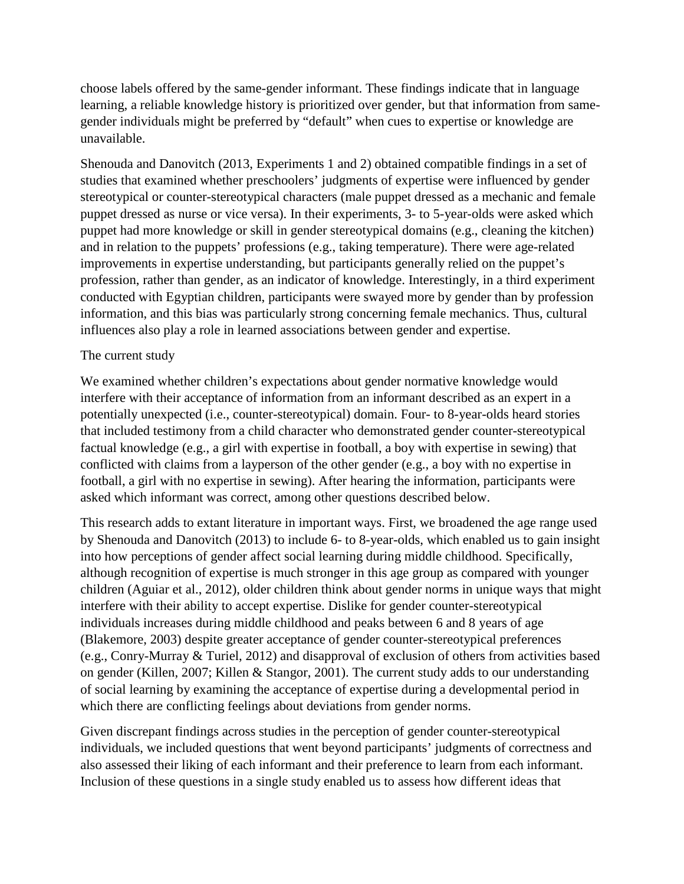choose labels offered by the same-gender informant. These findings indicate that in language learning, a reliable knowledge history is prioritized over gender, but that information from samegender individuals might be preferred by "default" when cues to expertise or knowledge are unavailable.

Shenouda and Danovitch (2013, Experiments 1 and 2) obtained compatible findings in a set of studies that examined whether preschoolers' judgments of expertise were influenced by gender stereotypical or counter-stereotypical characters (male puppet dressed as a mechanic and female puppet dressed as nurse or vice versa). In their experiments, 3- to 5-year-olds were asked which puppet had more knowledge or skill in gender stereotypical domains (e.g., cleaning the kitchen) and in relation to the puppets' professions (e.g., taking temperature). There were age-related improvements in expertise understanding, but participants generally relied on the puppet's profession, rather than gender, as an indicator of knowledge. Interestingly, in a third experiment conducted with Egyptian children, participants were swayed more by gender than by profession information, and this bias was particularly strong concerning female mechanics. Thus, cultural influences also play a role in learned associations between gender and expertise.

#### The current study

We examined whether children's expectations about gender normative knowledge would interfere with their acceptance of information from an informant described as an expert in a potentially unexpected (i.e., counter-stereotypical) domain. Four- to 8-year-olds heard stories that included testimony from a child character who demonstrated gender counter-stereotypical factual knowledge (e.g., a girl with expertise in football, a boy with expertise in sewing) that conflicted with claims from a layperson of the other gender (e.g., a boy with no expertise in football, a girl with no expertise in sewing). After hearing the information, participants were asked which informant was correct, among other questions described below.

This research adds to extant literature in important ways. First, we broadened the age range used by Shenouda and Danovitch (2013) to include 6- to 8-year-olds, which enabled us to gain insight into how perceptions of gender affect social learning during middle childhood. Specifically, although recognition of expertise is much stronger in this age group as compared with younger children (Aguiar et al., 2012), older children think about gender norms in unique ways that might interfere with their ability to accept expertise. Dislike for gender counter-stereotypical individuals increases during middle childhood and peaks between 6 and 8 years of age (Blakemore, 2003) despite greater acceptance of gender counter-stereotypical preferences (e.g., Conry-Murray & Turiel, 2012) and disapproval of exclusion of others from activities based on gender (Killen, 2007; Killen & Stangor, 2001). The current study adds to our understanding of social learning by examining the acceptance of expertise during a developmental period in which there are conflicting feelings about deviations from gender norms.

Given discrepant findings across studies in the perception of gender counter-stereotypical individuals, we included questions that went beyond participants' judgments of correctness and also assessed their liking of each informant and their preference to learn from each informant. Inclusion of these questions in a single study enabled us to assess how different ideas that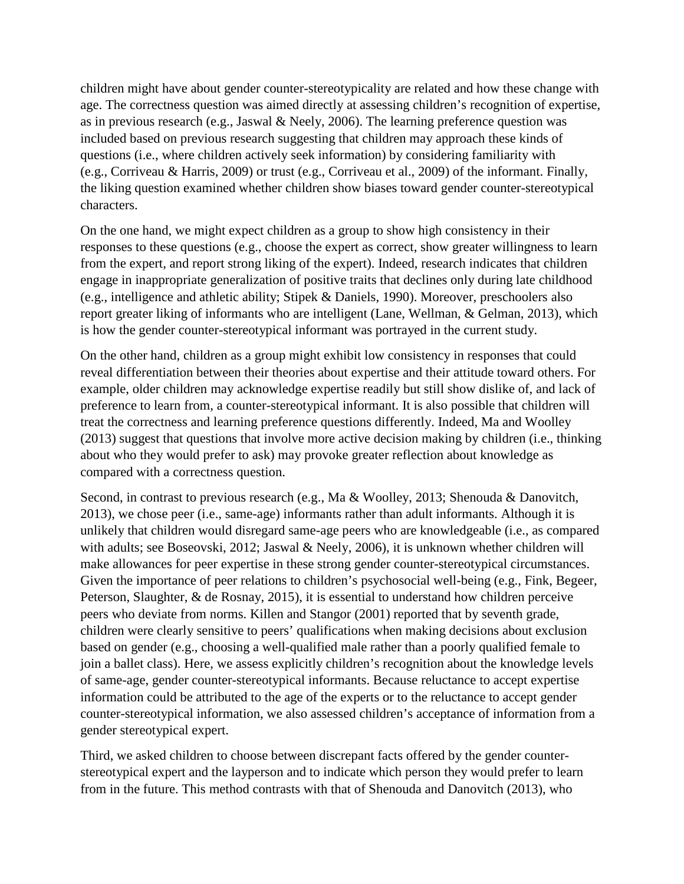children might have about gender counter-stereotypicality are related and how these change with age. The correctness question was aimed directly at assessing children's recognition of expertise, as in previous research (e.g., Jaswal & Neely, 2006). The learning preference question was included based on previous research suggesting that children may approach these kinds of questions (i.e., where children actively seek information) by considering familiarity with (e.g., Corriveau & Harris, 2009) or trust (e.g., Corriveau et al., 2009) of the informant. Finally, the liking question examined whether children show biases toward gender counter-stereotypical characters.

On the one hand, we might expect children as a group to show high consistency in their responses to these questions (e.g., choose the expert as correct, show greater willingness to learn from the expert, and report strong liking of the expert). Indeed, research indicates that children engage in inappropriate generalization of positive traits that declines only during late childhood (e.g., intelligence and athletic ability; Stipek & Daniels, 1990). Moreover, preschoolers also report greater liking of informants who are intelligent (Lane, Wellman, & Gelman, 2013), which is how the gender counter-stereotypical informant was portrayed in the current study.

On the other hand, children as a group might exhibit low consistency in responses that could reveal differentiation between their theories about expertise and their attitude toward others. For example, older children may acknowledge expertise readily but still show dislike of, and lack of preference to learn from, a counter-stereotypical informant. It is also possible that children will treat the correctness and learning preference questions differently. Indeed, Ma and Woolley (2013) suggest that questions that involve more active decision making by children (i.e., thinking about who they would prefer to ask) may provoke greater reflection about knowledge as compared with a correctness question.

Second, in contrast to previous research (e.g., Ma & Woolley, 2013; Shenouda & Danovitch, 2013), we chose peer (i.e., same-age) informants rather than adult informants. Although it is unlikely that children would disregard same-age peers who are knowledgeable (i.e., as compared with adults; see Boseovski, 2012; Jaswal & Neely, 2006), it is unknown whether children will make allowances for peer expertise in these strong gender counter-stereotypical circumstances. Given the importance of peer relations to children's psychosocial well-being (e.g., Fink, Begeer, Peterson, Slaughter, & de Rosnay, 2015), it is essential to understand how children perceive peers who deviate from norms. Killen and Stangor (2001) reported that by seventh grade, children were clearly sensitive to peers' qualifications when making decisions about exclusion based on gender (e.g., choosing a well-qualified male rather than a poorly qualified female to join a ballet class). Here, we assess explicitly children's recognition about the knowledge levels of same-age, gender counter-stereotypical informants. Because reluctance to accept expertise information could be attributed to the age of the experts or to the reluctance to accept gender counter-stereotypical information, we also assessed children's acceptance of information from a gender stereotypical expert.

Third, we asked children to choose between discrepant facts offered by the gender counterstereotypical expert and the layperson and to indicate which person they would prefer to learn from in the future. This method contrasts with that of Shenouda and Danovitch (2013), who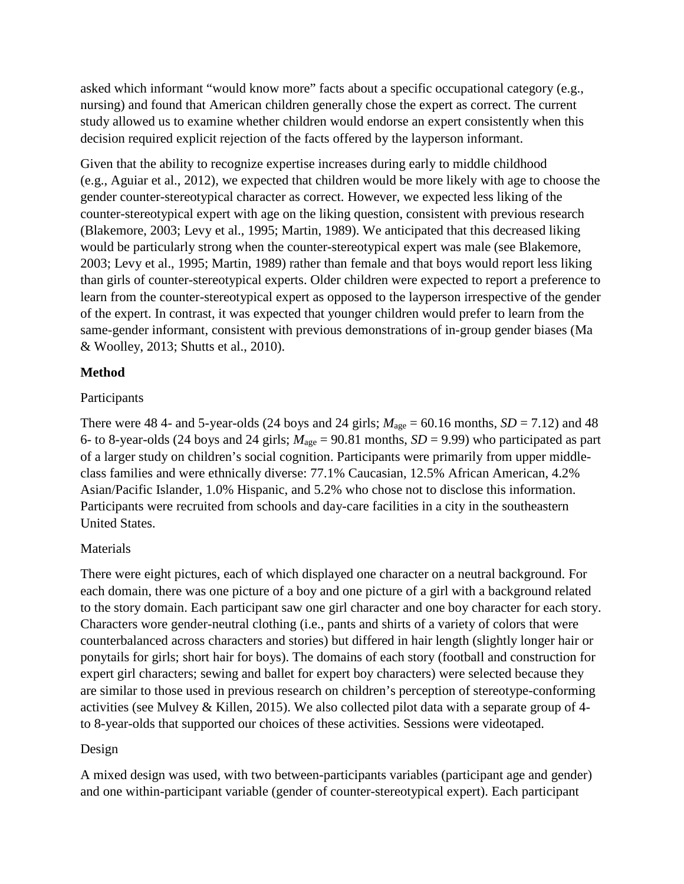asked which informant "would know more" facts about a specific occupational category (e.g., nursing) and found that American children generally chose the expert as correct. The current study allowed us to examine whether children would endorse an expert consistently when this decision required explicit rejection of the facts offered by the layperson informant.

Given that the ability to recognize expertise increases during early to middle childhood (e.g., Aguiar et al., 2012), we expected that children would be more likely with age to choose the gender counter-stereotypical character as correct. However, we expected less liking of the counter-stereotypical expert with age on the liking question, consistent with previous research (Blakemore, 2003; Levy et al., 1995; Martin, 1989). We anticipated that this decreased liking would be particularly strong when the counter-stereotypical expert was male (see Blakemore, 2003; Levy et al., 1995; Martin, 1989) rather than female and that boys would report less liking than girls of counter-stereotypical experts. Older children were expected to report a preference to learn from the counter-stereotypical expert as opposed to the layperson irrespective of the gender of the expert. In contrast, it was expected that younger children would prefer to learn from the same-gender informant, consistent with previous demonstrations of in-group gender biases (Ma & Woolley, 2013; Shutts et al., 2010).

### **Method**

### Participants

There were 48 4- and 5-year-olds (24 boys and 24 girls;  $M_{\text{age}} = 60.16$  months,  $SD = 7.12$ ) and 48 6- to 8-year-olds (24 boys and 24 girls;  $M_{\text{age}} = 90.81$  months,  $SD = 9.99$ ) who participated as part of a larger study on children's social cognition. Participants were primarily from upper middleclass families and were ethnically diverse: 77.1% Caucasian, 12.5% African American, 4.2% Asian/Pacific Islander, 1.0% Hispanic, and 5.2% who chose not to disclose this information. Participants were recruited from schools and day-care facilities in a city in the southeastern United States.

## Materials

There were eight pictures, each of which displayed one character on a neutral background. For each domain, there was one picture of a boy and one picture of a girl with a background related to the story domain. Each participant saw one girl character and one boy character for each story. Characters wore gender-neutral clothing (i.e., pants and shirts of a variety of colors that were counterbalanced across characters and stories) but differed in hair length (slightly longer hair or ponytails for girls; short hair for boys). The domains of each story (football and construction for expert girl characters; sewing and ballet for expert boy characters) were selected because they are similar to those used in previous research on children's perception of stereotype-conforming activities (see Mulvey & Killen, 2015). We also collected pilot data with a separate group of 4 to 8-year-olds that supported our choices of these activities. Sessions were videotaped.

### Design

A mixed design was used, with two between-participants variables (participant age and gender) and one within-participant variable (gender of counter-stereotypical expert). Each participant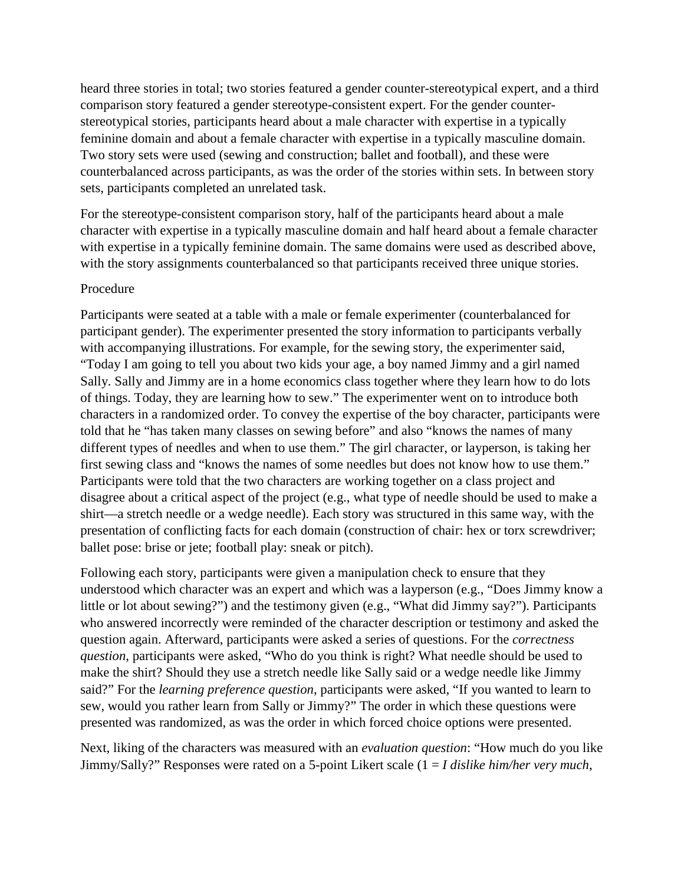heard three stories in total; two stories featured a gender counter-stereotypical expert, and a third comparison story featured a gender stereotype-consistent expert. For the gender counterstereotypical stories, participants heard about a male character with expertise in a typically feminine domain and about a female character with expertise in a typically masculine domain. Two story sets were used (sewing and construction; ballet and football), and these were counterbalanced across participants, as was the order of the stories within sets. In between story sets, participants completed an unrelated task.

For the stereotype-consistent comparison story, half of the participants heard about a male character with expertise in a typically masculine domain and half heard about a female character with expertise in a typically feminine domain. The same domains were used as described above, with the story assignments counterbalanced so that participants received three unique stories.

#### Procedure

Participants were seated at a table with a male or female experimenter (counterbalanced for participant gender). The experimenter presented the story information to participants verbally with accompanying illustrations. For example, for the sewing story, the experimenter said, "Today I am going to tell you about two kids your age, a boy named Jimmy and a girl named Sally. Sally and Jimmy are in a home economics class together where they learn how to do lots of things. Today, they are learning how to sew." The experimenter went on to introduce both characters in a randomized order. To convey the expertise of the boy character, participants were told that he "has taken many classes on sewing before" and also "knows the names of many different types of needles and when to use them." The girl character, or layperson, is taking her first sewing class and "knows the names of some needles but does not know how to use them." Participants were told that the two characters are working together on a class project and disagree about a critical aspect of the project (e.g., what type of needle should be used to make a shirt—a stretch needle or a wedge needle). Each story was structured in this same way, with the presentation of conflicting facts for each domain (construction of chair: hex or torx screwdriver; ballet pose: brise or jete; football play: sneak or pitch).

Following each story, participants were given a manipulation check to ensure that they understood which character was an expert and which was a layperson (e.g., "Does Jimmy know a little or lot about sewing?") and the testimony given (e.g., "What did Jimmy say?"). Participants who answered incorrectly were reminded of the character description or testimony and asked the question again. Afterward, participants were asked a series of questions. For the *correctness question*, participants were asked, "Who do you think is right? What needle should be used to make the shirt? Should they use a stretch needle like Sally said or a wedge needle like Jimmy said?" For the *learning preference question*, participants were asked, "If you wanted to learn to sew, would you rather learn from Sally or Jimmy?" The order in which these questions were presented was randomized, as was the order in which forced choice options were presented.

Next, liking of the characters was measured with an *evaluation question*: "How much do you like Jimmy/Sally?" Responses were rated on a 5-point Likert scale (1 = *I dislike him/her very much*,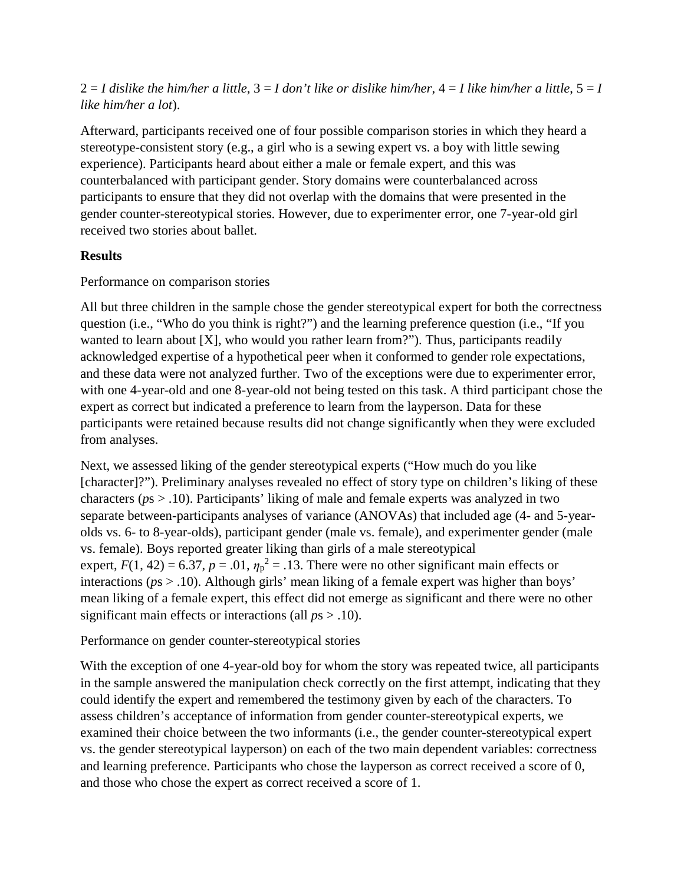## $2 = I$  dislike the him/her a little,  $3 = I$  don't like or dislike him/her,  $4 = I$  like him/her a little,  $5 = I$ *like him/her a lot*).

Afterward, participants received one of four possible comparison stories in which they heard a stereotype-consistent story (e.g., a girl who is a sewing expert vs. a boy with little sewing experience). Participants heard about either a male or female expert, and this was counterbalanced with participant gender. Story domains were counterbalanced across participants to ensure that they did not overlap with the domains that were presented in the gender counter-stereotypical stories. However, due to experimenter error, one 7-year-old girl received two stories about ballet.

### **Results**

### Performance on comparison stories

All but three children in the sample chose the gender stereotypical expert for both the correctness question (i.e., "Who do you think is right?") and the learning preference question (i.e., "If you wanted to learn about [X], who would you rather learn from?"). Thus, participants readily acknowledged expertise of a hypothetical peer when it conformed to gender role expectations, and these data were not analyzed further. Two of the exceptions were due to experimenter error, with one 4-year-old and one 8-year-old not being tested on this task. A third participant chose the expert as correct but indicated a preference to learn from the layperson. Data for these participants were retained because results did not change significantly when they were excluded from analyses.

Next, we assessed liking of the gender stereotypical experts ("How much do you like [character]?"). Preliminary analyses revealed no effect of story type on children's liking of these characters (*p*s > .10). Participants' liking of male and female experts was analyzed in two separate between-participants analyses of variance (ANOVAs) that included age (4- and 5-yearolds vs. 6- to 8-year-olds), participant gender (male vs. female), and experimenter gender (male vs. female). Boys reported greater liking than girls of a male stereotypical expert,  $F(1, 42) = 6.37$ ,  $p = .01$ ,  $\eta_p^2 = .13$ . There were no other significant main effects or interactions (*p*s > .10). Although girls' mean liking of a female expert was higher than boys' mean liking of a female expert, this effect did not emerge as significant and there were no other significant main effects or interactions (all *p*s > .10).

## Performance on gender counter-stereotypical stories

With the exception of one 4-year-old boy for whom the story was repeated twice, all participants in the sample answered the manipulation check correctly on the first attempt, indicating that they could identify the expert and remembered the testimony given by each of the characters. To assess children's acceptance of information from gender counter-stereotypical experts, we examined their choice between the two informants (i.e., the gender counter-stereotypical expert vs. the gender stereotypical layperson) on each of the two main dependent variables: correctness and learning preference. Participants who chose the layperson as correct received a score of 0, and those who chose the expert as correct received a score of 1.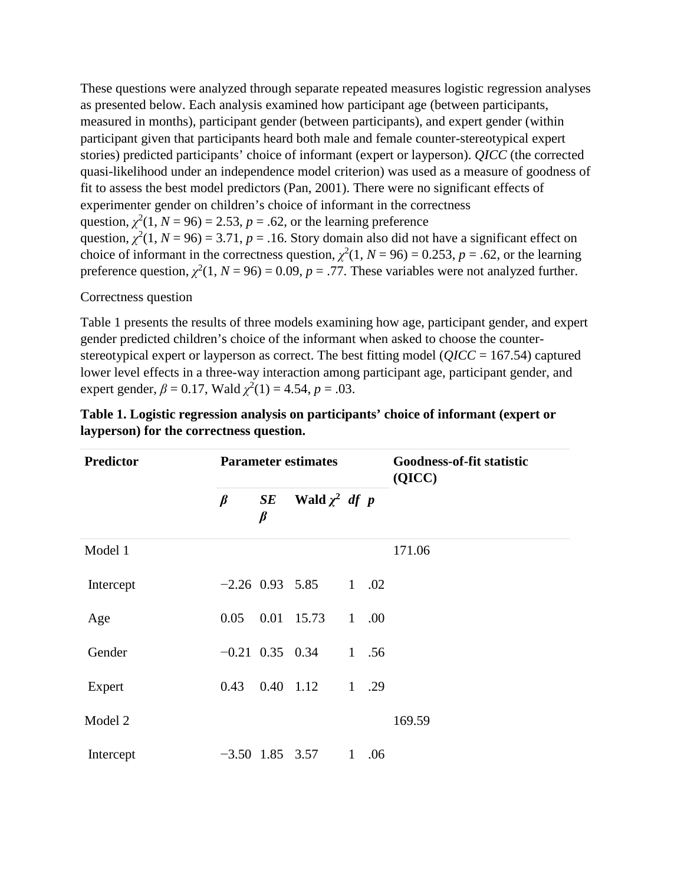These questions were analyzed through separate repeated measures logistic regression analyses as presented below. Each analysis examined how participant age (between participants, measured in months), participant gender (between participants), and expert gender (within participant given that participants heard both male and female counter-stereotypical expert stories) predicted participants' choice of informant (expert or layperson). *QICC* (the corrected quasi-likelihood under an independence model criterion) was used as a measure of goodness of fit to assess the best model predictors (Pan, 2001). There were no significant effects of experimenter gender on children's choice of informant in the correctness question,  $\chi^2(1, N = 96) = 2.53$ ,  $p = .62$ , or the learning preference question,  $\chi^2(1, N = 96) = 3.71$ ,  $p = .16$ . Story domain also did not have a significant effect on choice of informant in the correctness question,  $\chi^2(1, N = 96) = 0.253$ ,  $p = .62$ , or the learning preference question,  $\chi^2(1, N = 96) = 0.09$ ,  $p = .77$ . These variables were not analyzed further.

Correctness question

Table 1 presents the results of three models examining how age, participant gender, and expert gender predicted children's choice of the informant when asked to choose the counterstereotypical expert or layperson as correct. The best fitting model (*QICC* = 167.54) captured lower level effects in a three-way interaction among participant age, participant gender, and expert gender,  $\beta = 0.17$ , Wald  $\chi^2(1) = 4.54$ ,  $p = .03$ .

| <b>Predictor</b> |         |               | <b>Parameter estimates</b>          |   | <b>Goodness-of-fit statistic</b><br>(QICC) |        |
|------------------|---------|---------------|-------------------------------------|---|--------------------------------------------|--------|
|                  | $\beta$ | SE<br>$\beta$ | Wald $\chi^2$ df p                  |   |                                            |        |
| Model 1          |         |               |                                     |   |                                            | 171.06 |
| Intercept        |         |               | $-2.26$ 0.93 5.85 1 .02             |   |                                            |        |
| Age              | 0.05    |               | 0.01 15.73                          | 1 | .00.                                       |        |
| Gender           |         |               | $-0.21$ 0.35 0.34                   |   | 1, .56                                     |        |
| Expert           | 0.43    |               | $0.40 \quad 1.12 \quad 1 \quad .29$ |   |                                            |        |
| Model 2          |         |               |                                     |   |                                            | 169.59 |
| Intercept        |         |               | $-3.50$ 1.85 3.57                   | 1 | .06                                        |        |

| Table 1. Logistic regression analysis on participants' choice of informant (expert or |  |
|---------------------------------------------------------------------------------------|--|
| layperson) for the correctness question.                                              |  |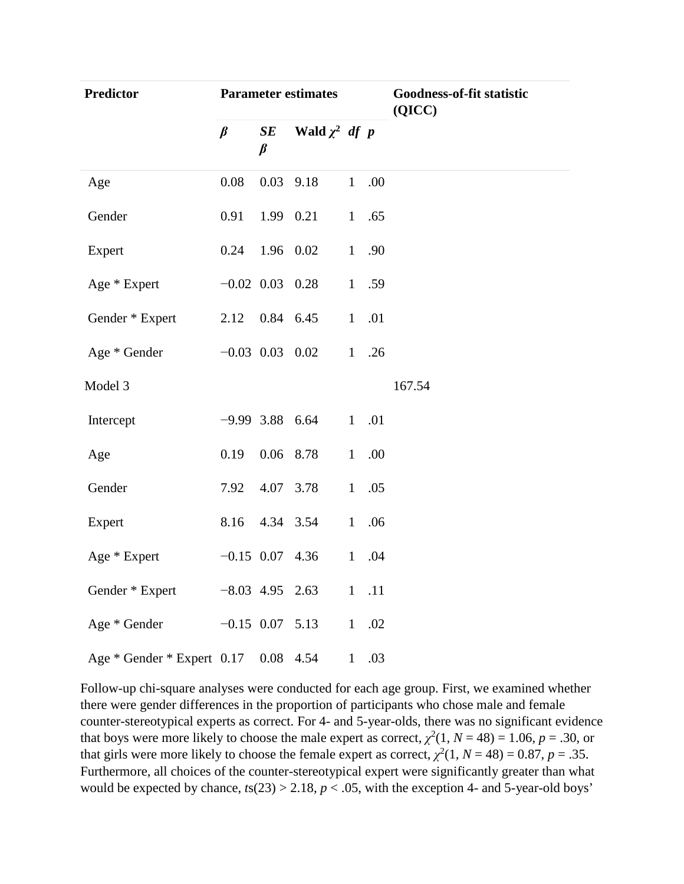| <b>Predictor</b>                     |                   |               | <b>Parameter estimates</b> |              | Goodness-of-fit statistic<br>(QICC) |        |
|--------------------------------------|-------------------|---------------|----------------------------|--------------|-------------------------------------|--------|
|                                      | $\beta$           | SE<br>$\beta$ | Wald $\chi^2$ df p         |              |                                     |        |
| Age                                  | 0.08              |               | $0.03$ 9.18                | 1            | .00                                 |        |
| Gender                               | 0.91              | 1.99 0.21     |                            |              | 1 .65                               |        |
| Expert                               | 0.24 1.96 0.02    |               |                            |              | 1 .90                               |        |
| Age * Expert                         |                   |               | $-0.02$ 0.03 0.28          |              | 1 .59                               |        |
| Gender * Expert                      | 2.12 0.84 6.45    |               |                            | $\mathbf{1}$ | .01                                 |        |
| Age * Gender                         |                   |               | $-0.03$ 0.03 0.02          |              | 1.26                                |        |
| Model 3                              |                   |               |                            |              |                                     | 167.54 |
| Intercept                            |                   |               | $-9.99$ 3.88 6.64          |              | 1 .01                               |        |
| Age                                  | 0.19              |               | 0.06 8.78                  | $\mathbf{1}$ | .00                                 |        |
| Gender                               | 7.92              |               | 4.07 3.78                  | 1            | .05                                 |        |
| Expert                               | 8.16              |               | 4.34 3.54                  | 1            | .06                                 |        |
| Age * Expert                         | $-0.15$ 0.07 4.36 |               |                            | 1            | .04                                 |        |
| Gender * Expert                      | $-8.03$ 4.95 2.63 |               |                            |              | $1$ .11                             |        |
| Age * Gender                         | $-0.15$ 0.07 5.13 |               |                            | 1            | .02                                 |        |
| Age * Gender * Expert 0.17 0.08 4.54 |                   |               |                            | 1            | .03                                 |        |

Follow-up chi-square analyses were conducted for each age group. First, we examined whether there were gender differences in the proportion of participants who chose male and female counter-stereotypical experts as correct. For 4- and 5-year-olds, there was no significant evidence that boys were more likely to choose the male expert as correct,  $\chi^2(1, N = 48) = 1.06$ ,  $p = .30$ , or that girls were more likely to choose the female expert as correct,  $\chi^2(1, N = 48) = 0.87$ ,  $p = .35$ . Furthermore, all choices of the counter-stereotypical expert were significantly greater than what would be expected by chance,  $t s(23) > 2.18$ ,  $p < .05$ , with the exception 4- and 5-year-old boys'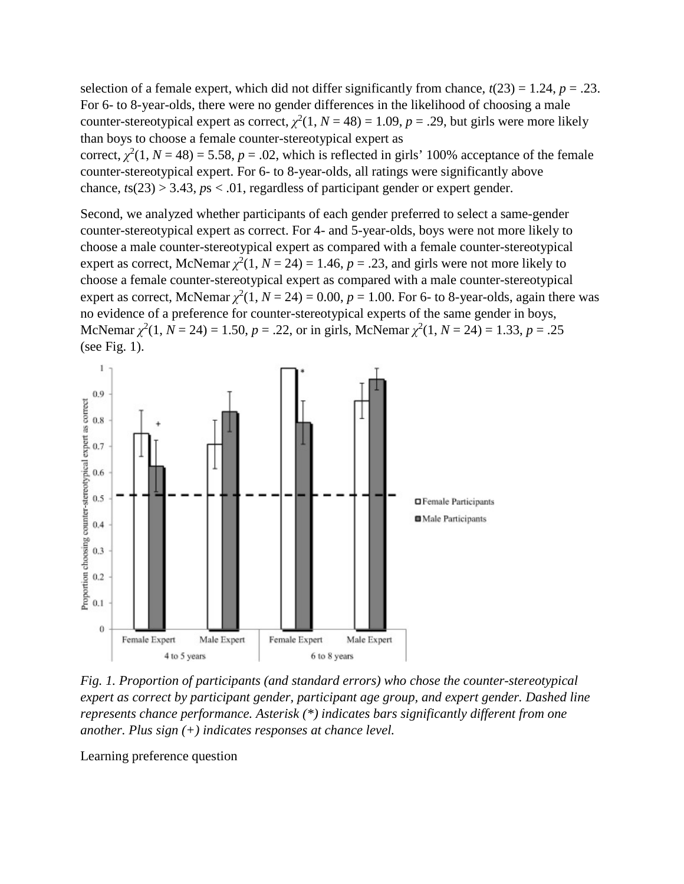selection of a female expert, which did not differ significantly from chance,  $t(23) = 1.24$ ,  $p = .23$ . For 6- to 8-year-olds, there were no gender differences in the likelihood of choosing a male counter-stereotypical expert as correct,  $\chi^2(1, N = 48) = 1.09$ ,  $p = .29$ , but girls were more likely than boys to choose a female counter-stereotypical expert as

correct,  $\chi^2(1, N = 48) = 5.58$ ,  $p = .02$ , which is reflected in girls' 100% acceptance of the female counter-stereotypical expert. For 6- to 8-year-olds, all ratings were significantly above chance, *, regardless of participant gender or expert gender.* 

Second, we analyzed whether participants of each gender preferred to select a same-gender counter-stereotypical expert as correct. For 4- and 5-year-olds, boys were not more likely to choose a male counter-stereotypical expert as compared with a female counter-stereotypical expert as correct, McNemar  $\chi^2(1, N = 24) = 1.46$ ,  $p = .23$ , and girls were not more likely to choose a female counter-stereotypical expert as compared with a male counter-stereotypical expert as correct, McNemar  $\chi^2(1, N = 24) = 0.00$ ,  $p = 1.00$ . For 6- to 8-year-olds, again there was no evidence of a preference for counter-stereotypical experts of the same gender in boys, McNemar  $\chi^2(1, N = 24) = 1.50$ ,  $p = .22$ , or in girls, McNemar  $\chi^2(1, N = 24) = 1.33$ ,  $p = .25$ (see Fig. 1).



*Fig. 1. Proportion of participants (and standard errors) who chose the counter-stereotypical expert as correct by participant gender, participant age group, and expert gender. Dashed line represents chance performance. Asterisk (\*) indicates bars significantly different from one another. Plus sign (+) indicates responses at chance level.*

Learning preference question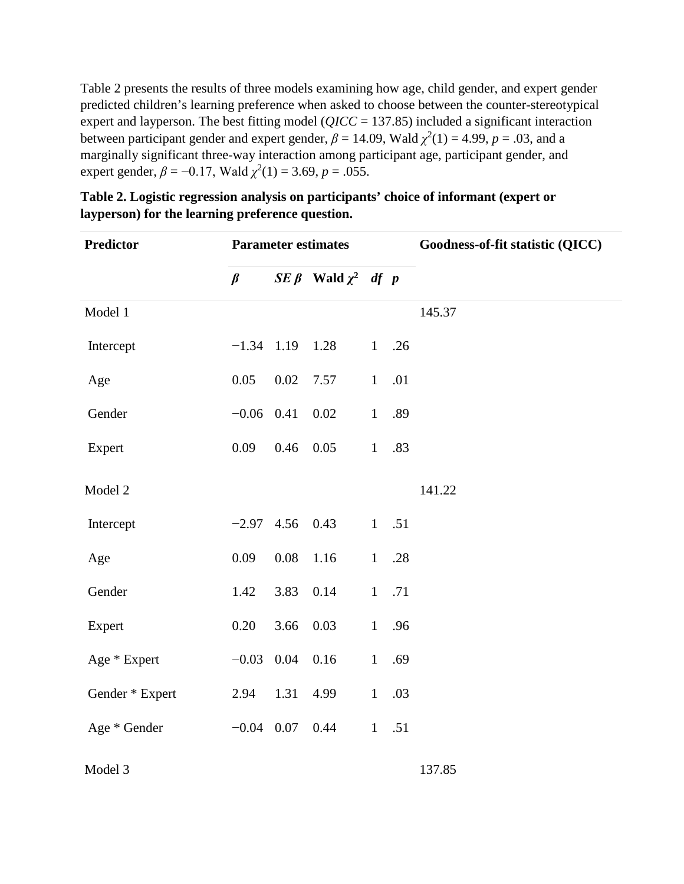Table 2 presents the results of three models examining how age, child gender, and expert gender predicted children's learning preference when asked to choose between the counter-stereotypical expert and layperson. The best fitting model (*QICC* = 137.85) included a significant interaction between participant gender and expert gender,  $\beta = 14.09$ , Wald  $\chi^2(1) = 4.99$ ,  $p = .03$ , and a marginally significant three-way interaction among participant age, participant gender, and expert gender,  $\beta = -0.17$ , Wald  $\chi^2(1) = 3.69$ ,  $p = .055$ .

| <b>Predictor</b> |                   |      | <b>Parameter estimates</b>          |              |         | Goodness-of-fit statistic (QICC) |  |  |  |
|------------------|-------------------|------|-------------------------------------|--------------|---------|----------------------------------|--|--|--|
|                  | $\beta$           |      | $\int \int \int$ Wald $\chi^2$ df p |              |         |                                  |  |  |  |
| Model 1          |                   |      |                                     |              |         | 145.37                           |  |  |  |
| Intercept        | $-1.34$ 1.19      |      | 1.28                                | 1            | .26     |                                  |  |  |  |
| Age              | 0.05              | 0.02 | 7.57                                | $\mathbf{1}$ | .01     |                                  |  |  |  |
| Gender           | $-0.06$ 0.41      |      | 0.02                                | $\mathbf{1}$ | .89     |                                  |  |  |  |
| Expert           | 0.09              | 0.46 | 0.05                                | $\mathbf{1}$ | .83     |                                  |  |  |  |
| Model 2          |                   |      |                                     |              |         | 141.22                           |  |  |  |
| Intercept        | $-2.97$ 4.56 0.43 |      |                                     |              | $1-.51$ |                                  |  |  |  |
| Age              | 0.09              | 0.08 | 1.16                                | 1            | .28     |                                  |  |  |  |
| Gender           | 1.42              | 3.83 | 0.14                                | $\mathbf{1}$ | .71     |                                  |  |  |  |
| Expert           | 0.20              | 3.66 | 0.03                                | $\mathbf{1}$ | .96     |                                  |  |  |  |
| Age * Expert     | $-0.03$ 0.04      |      | 0.16                                | $\mathbf{1}$ | .69     |                                  |  |  |  |
| Gender * Expert  | 2.94              | 1.31 | 4.99                                | $\mathbf{1}$ | .03     |                                  |  |  |  |
| Age * Gender     | $-0.04$ 0.07      |      | 0.44                                | $\mathbf{1}$ | .51     |                                  |  |  |  |
|                  |                   |      |                                     |              |         |                                  |  |  |  |

| Table 2. Logistic regression analysis on participants' choice of informant (expert or |  |
|---------------------------------------------------------------------------------------|--|
| layperson) for the learning preference question.                                      |  |

Model 3 137.85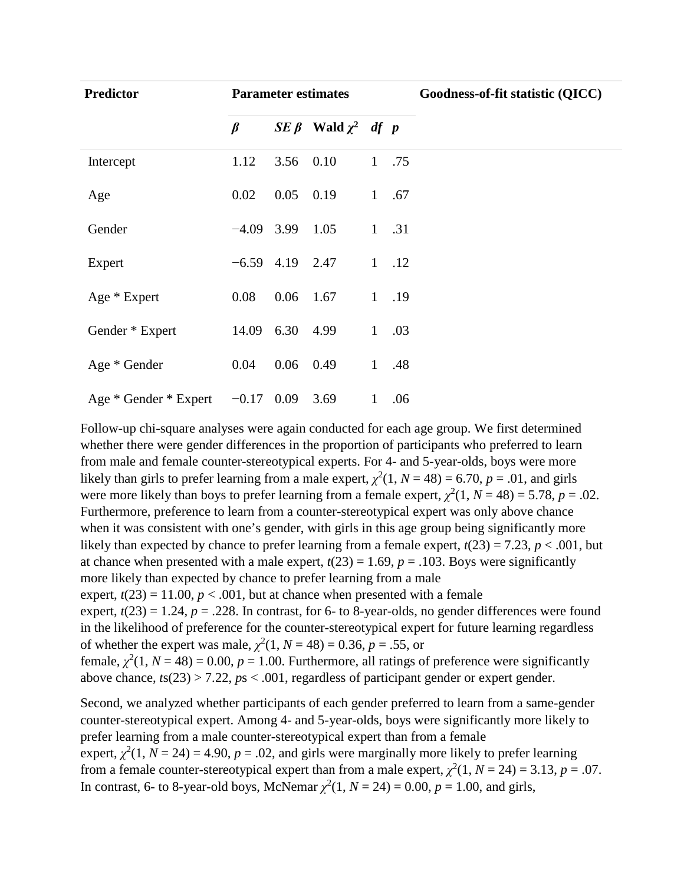| <b>Predictor</b>      |              |                   | <b>Parameter estimates</b>              |              |      | Goodness-of-fit statistic (QICC) |
|-----------------------|--------------|-------------------|-----------------------------------------|--------------|------|----------------------------------|
|                       | $\beta$      |                   | $\mathcal{S}E \beta$ Wald $\chi^2$ df p |              |      |                                  |
| Intercept             | 1.12         | 3.56              | 0.10                                    | $\mathbf{1}$ | .75  |                                  |
| Age                   | 0.02         | 0.05              | 0.19                                    | $\mathbf{1}$ | .67  |                                  |
| Gender                | $-4.09$ 3.99 |                   | 1.05                                    | $\mathbf{1}$ | .31  |                                  |
| Expert                |              | $-6.59$ 4.19 2.47 |                                         |              | 1.12 |                                  |
| Age * Expert          | 0.08         | 0.06              | 1.67                                    | $\mathbf{1}$ | .19  |                                  |
| Gender * Expert       |              | 14.09 6.30        | 4.99                                    | $\mathbf{1}$ | .03  |                                  |
| Age * Gender          | 0.04         | $0.06$ 0.49       |                                         | $\mathbf{1}$ | .48  |                                  |
| Age * Gender * Expert | $-0.17$ 0.09 |                   | 3.69                                    | $\mathbf{1}$ | .06  |                                  |

Follow-up chi-square analyses were again conducted for each age group. We first determined whether there were gender differences in the proportion of participants who preferred to learn from male and female counter-stereotypical experts. For 4- and 5-year-olds, boys were more likely than girls to prefer learning from a male expert,  $\chi^2(1, N = 48) = 6.70, p = .01$ , and girls were more likely than boys to prefer learning from a female expert,  $\chi^2(1, N = 48) = 5.78$ ,  $p = .02$ . Furthermore, preference to learn from a counter-stereotypical expert was only above chance when it was consistent with one's gender, with girls in this age group being significantly more likely than expected by chance to prefer learning from a female expert,  $t(23) = 7.23$ ,  $p < .001$ , but at chance when presented with a male expert,  $t(23) = 1.69$ ,  $p = .103$ . Boys were significantly more likely than expected by chance to prefer learning from a male expert,  $t(23) = 11.00$ ,  $p < .001$ , but at chance when presented with a female expert,  $t(23) = 1.24$ ,  $p = .228$ . In contrast, for 6- to 8-year-olds, no gender differences were found in the likelihood of preference for the counter-stereotypical expert for future learning regardless of whether the expert was male,  $\chi^2(1, N = 48) = 0.36, p = .55$ , or female,  $\chi^2(1, N = 48) = 0.00$ ,  $p = 1.00$ . Furthermore, all ratings of preference were significantly above chance, *t*s(23) > 7.22, *p*s < .001, regardless of participant gender or expert gender.

Second, we analyzed whether participants of each gender preferred to learn from a same-gender counter-stereotypical expert. Among 4- and 5-year-olds, boys were significantly more likely to prefer learning from a male counter-stereotypical expert than from a female expert,  $\chi^2(1, N = 24) = 4.90$ ,  $p = .02$ , and girls were marginally more likely to prefer learning from a female counter-stereotypical expert than from a male expert,  $\chi^2(1, N = 24) = 3.13$ ,  $p = .07$ . In contrast, 6- to 8-year-old boys, McNemar  $\chi^2(1, N = 24) = 0.00$ ,  $p = 1.00$ , and girls,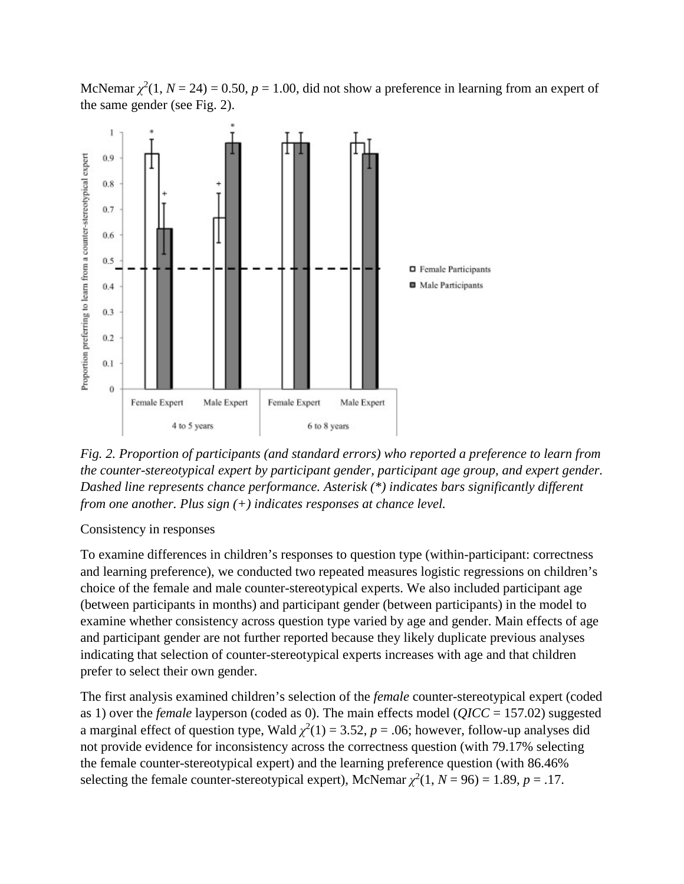McNemar  $\chi^2(1, N = 24) = 0.50$ ,  $p = 1.00$ , did not show a preference in learning from an expert of the same gender (see Fig. 2).



*Fig. 2. Proportion of participants (and standard errors) who reported a preference to learn from the counter-stereotypical expert by participant gender, participant age group, and expert gender. Dashed line represents chance performance. Asterisk (\*) indicates bars significantly different from one another. Plus sign (+) indicates responses at chance level.*

Consistency in responses

To examine differences in children's responses to question type (within-participant: correctness and learning preference), we conducted two repeated measures logistic regressions on children's choice of the female and male counter-stereotypical experts. We also included participant age (between participants in months) and participant gender (between participants) in the model to examine whether consistency across question type varied by age and gender. Main effects of age and participant gender are not further reported because they likely duplicate previous analyses indicating that selection of counter-stereotypical experts increases with age and that children prefer to select their own gender.

The first analysis examined children's selection of the *female* counter-stereotypical expert (coded as 1) over the *female* layperson (coded as 0). The main effects model (*QICC* = 157.02) suggested a marginal effect of question type, Wald  $\chi^2(1) = 3.52$ ,  $p = .06$ ; however, follow-up analyses did not provide evidence for inconsistency across the correctness question (with 79.17% selecting the female counter-stereotypical expert) and the learning preference question (with 86.46% selecting the female counter-stereotypical expert), McNemar  $\chi^2(1, N = 96) = 1.89$ ,  $p = .17$ .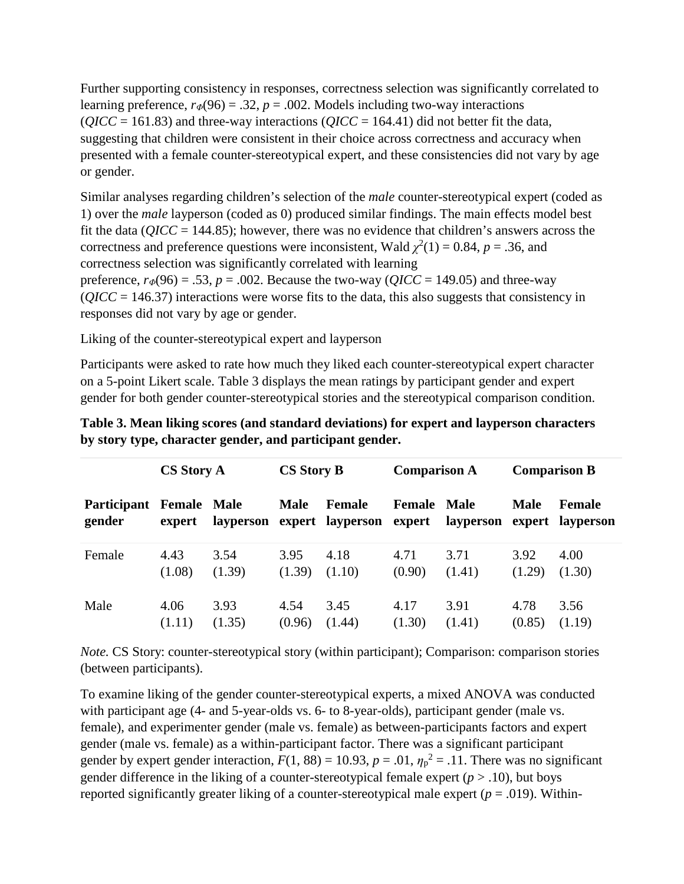Further supporting consistency in responses, correctness selection was significantly correlated to learning preference,  $r_{\phi}(96) = .32$ ,  $p = .002$ . Models including two-way interactions  $(QICC = 161.83)$  and three-way interactions  $(QICC = 164.41)$  did not better fit the data, suggesting that children were consistent in their choice across correctness and accuracy when presented with a female counter-stereotypical expert, and these consistencies did not vary by age or gender.

Similar analyses regarding children's selection of the *male* counter-stereotypical expert (coded as 1) over the *male* layperson (coded as 0) produced similar findings. The main effects model best fit the data ( $\text{OICC} = 144.85$ ); however, there was no evidence that children's answers across the correctness and preference questions were inconsistent, Wald  $\chi^2(1) = 0.84$ ,  $p = .36$ , and correctness selection was significantly correlated with learning preference,  $r_{\Phi}(96) = .53$ ,  $p = .002$ . Because the two-way ( $QICC = 149.05$ ) and three-way (*QICC* = 146.37) interactions were worse fits to the data, this also suggests that consistency in responses did not vary by age or gender.

Liking of the counter-stereotypical expert and layperson

Participants were asked to rate how much they liked each counter-stereotypical expert character on a 5-point Likert scale. Table 3 displays the mean ratings by participant gender and expert gender for both gender counter-stereotypical stories and the stereotypical comparison condition.

| <b>CS Story A</b>     |                              |                                              | <b>CS Story B</b> |               | <b>Comparison A</b>          |           | <b>Comparison B</b> |                                   |
|-----------------------|------------------------------|----------------------------------------------|-------------------|---------------|------------------------------|-----------|---------------------|-----------------------------------|
| Participant<br>gender | <b>Female Male</b><br>expert | <b>Male</b><br>layperson<br>expert layperson |                   | <b>Female</b> | <b>Female Male</b><br>expert | layperson | <b>Male</b>         | <b>Female</b><br>expert layperson |
| Female                | 4.43                         | 3.54                                         | 3.95              | 4.18          | 4.71                         | 3.71      | 3.92                | 4.00                              |
|                       | (1.08)                       | (1.39)                                       | (1.39)            | (1.10)        | (0.90)                       | (1.41)    | (1.29)              | (1.30)                            |
| Male                  | 4.06                         | 3.93                                         | 4.54              | 3.45          | 4.17                         | 3.91      | 4.78                | 3.56                              |
|                       | (1.11)                       | (1.35)                                       | (0.96)            | (1.44)        | (1.30)                       | (1.41)    | (0.85)              | (1.19)                            |

**Table 3. Mean liking scores (and standard deviations) for expert and layperson characters by story type, character gender, and participant gender.**

*Note.* CS Story: counter-stereotypical story (within participant); Comparison: comparison stories (between participants).

To examine liking of the gender counter-stereotypical experts, a mixed ANOVA was conducted with participant age (4- and 5-year-olds vs. 6- to 8-year-olds), participant gender (male vs. female), and experimenter gender (male vs. female) as between-participants factors and expert gender (male vs. female) as a within-participant factor. There was a significant participant gender by expert gender interaction,  $F(1, 88) = 10.93$ ,  $p = .01$ ,  $\eta_p^2 = .11$ . There was no significant gender difference in the liking of a counter-stereotypical female expert  $(p > .10)$ , but boys reported significantly greater liking of a counter-stereotypical male expert ( $p = .019$ ). Within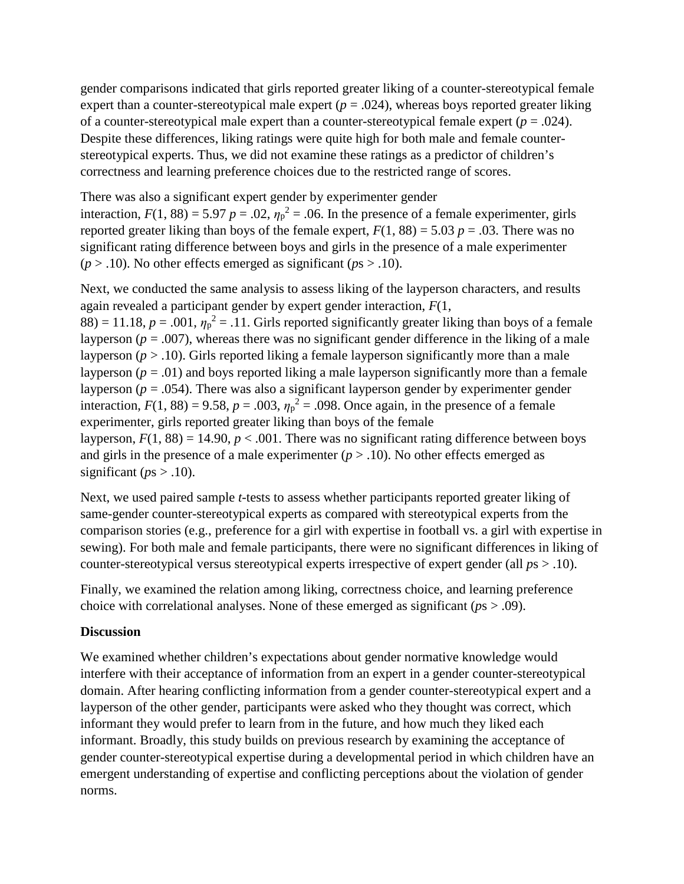gender comparisons indicated that girls reported greater liking of a counter-stereotypical female expert than a counter-stereotypical male expert  $(p = .024)$ , whereas boys reported greater liking of a counter-stereotypical male expert than a counter-stereotypical female expert  $(p = .024)$ . Despite these differences, liking ratings were quite high for both male and female counterstereotypical experts. Thus, we did not examine these ratings as a predictor of children's correctness and learning preference choices due to the restricted range of scores.

There was also a significant expert gender by experimenter gender interaction,  $F(1, 88) = 5.97$   $p = .02$ ,  $\eta_p^2 = .06$ . In the presence of a female experimenter, girls reported greater liking than boys of the female expert,  $F(1, 88) = 5.03$   $p = .03$ . There was no significant rating difference between boys and girls in the presence of a male experimenter  $(p > .10)$ . No other effects emerged as significant  $(p_s > .10)$ .

Next, we conducted the same analysis to assess liking of the layperson characters, and results again revealed a participant gender by expert gender interaction, *F*(1,  $88$ ) = 11.18,  $p = .001$ ,  $\eta_p^2 = .11$ . Girls reported significantly greater liking than boys of a female layperson ( $p = .007$ ), whereas there was no significant gender difference in the liking of a male layperson  $(p > .10)$ . Girls reported liking a female layperson significantly more than a male layperson  $(p = .01)$  and boys reported liking a male layperson significantly more than a female layperson ( $p = .054$ ). There was also a significant layperson gender by experimenter gender

interaction,  $F(1, 88) = 9.58$ ,  $p = .003$ ,  $\eta_p^2 = .098$ . Once again, in the presence of a female experimenter, girls reported greater liking than boys of the female

layperson,  $F(1, 88) = 14.90$ ,  $p < .001$ . There was no significant rating difference between boys and girls in the presence of a male experimenter  $(p > 0.10)$ . No other effects emerged as significant ( $ps > .10$ ).

Next, we used paired sample *t*-tests to assess whether participants reported greater liking of same-gender counter-stereotypical experts as compared with stereotypical experts from the comparison stories (e.g., preference for a girl with expertise in football vs. a girl with expertise in sewing). For both male and female participants, there were no significant differences in liking of counter-stereotypical versus stereotypical experts irrespective of expert gender (all *p*s > .10).

Finally, we examined the relation among liking, correctness choice, and learning preference choice with correlational analyses. None of these emerged as significant (*p*s > .09).

#### **Discussion**

We examined whether children's expectations about gender normative knowledge would interfere with their acceptance of information from an expert in a gender counter-stereotypical domain. After hearing conflicting information from a gender counter-stereotypical expert and a layperson of the other gender, participants were asked who they thought was correct, which informant they would prefer to learn from in the future, and how much they liked each informant. Broadly, this study builds on previous research by examining the acceptance of gender counter-stereotypical expertise during a developmental period in which children have an emergent understanding of expertise and conflicting perceptions about the violation of gender norms.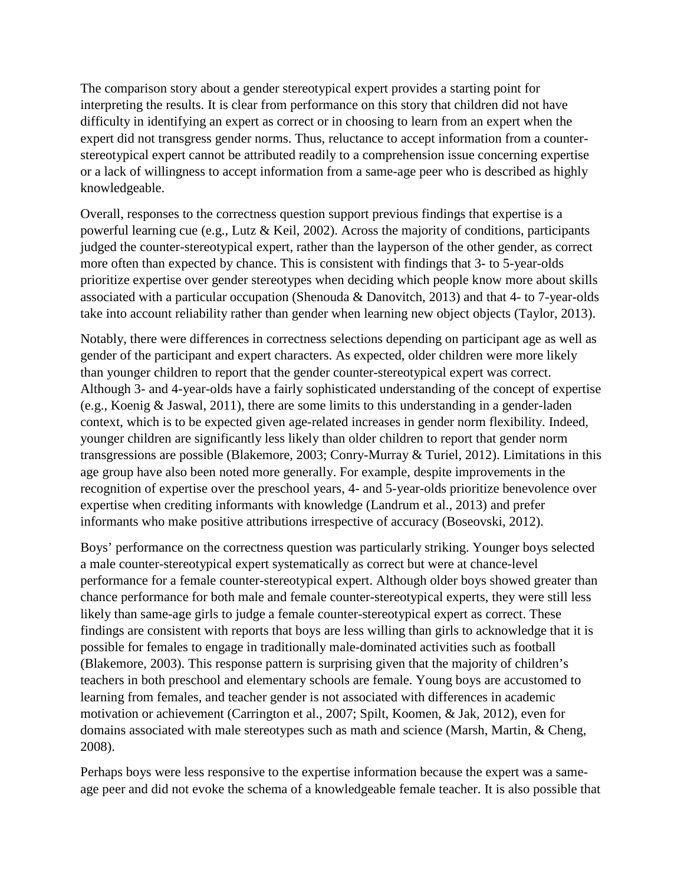The comparison story about a gender stereotypical expert provides a starting point for interpreting the results. It is clear from performance on this story that children did not have difficulty in identifying an expert as correct or in choosing to learn from an expert when the expert did not transgress gender norms. Thus, reluctance to accept information from a counterstereotypical expert cannot be attributed readily to a comprehension issue concerning expertise or a lack of willingness to accept information from a same-age peer who is described as highly knowledgeable.

Overall, responses to the correctness question support previous findings that expertise is a powerful learning cue (e.g., Lutz & Keil, 2002). Across the majority of conditions, participants judged the counter-stereotypical expert, rather than the layperson of the other gender, as correct more often than expected by chance. This is consistent with findings that 3- to 5-year-olds prioritize expertise over gender stereotypes when deciding which people know more about skills associated with a particular occupation (Shenouda & Danovitch, 2013) and that 4- to 7-year-olds take into account reliability rather than gender when learning new object objects (Taylor, 2013).

Notably, there were differences in correctness selections depending on participant age as well as gender of the participant and expert characters. As expected, older children were more likely than younger children to report that the gender counter-stereotypical expert was correct. Although 3- and 4-year-olds have a fairly sophisticated understanding of the concept of expertise (e.g., Koenig & Jaswal, 2011), there are some limits to this understanding in a gender-laden context, which is to be expected given age-related increases in gender norm flexibility. Indeed, younger children are significantly less likely than older children to report that gender norm transgressions are possible (Blakemore, 2003; Conry-Murray & Turiel, 2012). Limitations in this age group have also been noted more generally. For example, despite improvements in the recognition of expertise over the preschool years, 4- and 5-year-olds prioritize benevolence over expertise when crediting informants with knowledge (Landrum et al., 2013) and prefer informants who make positive attributions irrespective of accuracy (Boseovski, 2012).

Boys' performance on the correctness question was particularly striking. Younger boys selected a male counter-stereotypical expert systematically as correct but were at chance-level performance for a female counter-stereotypical expert. Although older boys showed greater than chance performance for both male and female counter-stereotypical experts, they were still less likely than same-age girls to judge a female counter-stereotypical expert as correct. These findings are consistent with reports that boys are less willing than girls to acknowledge that it is possible for females to engage in traditionally male-dominated activities such as football (Blakemore, 2003). This response pattern is surprising given that the majority of children's teachers in both preschool and elementary schools are female. Young boys are accustomed to learning from females, and teacher gender is not associated with differences in academic motivation or achievement (Carrington et al., 2007; Spilt, Koomen, & Jak, 2012), even for domains associated with male stereotypes such as math and science (Marsh, Martin, & Cheng, 2008).

Perhaps boys were less responsive to the expertise information because the expert was a sameage peer and did not evoke the schema of a knowledgeable female teacher. It is also possible that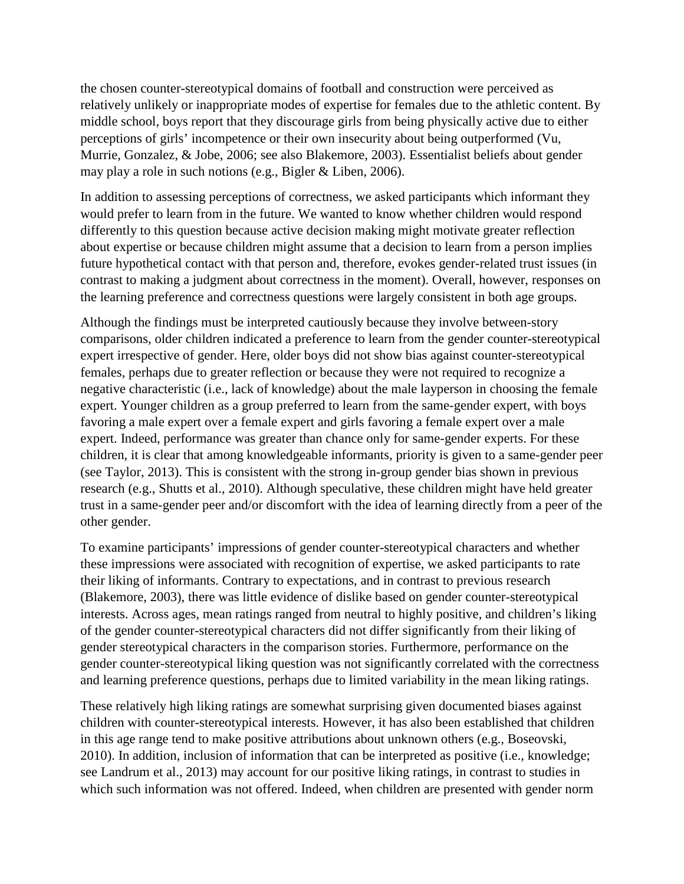the chosen counter-stereotypical domains of football and construction were perceived as relatively unlikely or inappropriate modes of expertise for females due to the athletic content. By middle school, boys report that they discourage girls from being physically active due to either perceptions of girls' incompetence or their own insecurity about being outperformed (Vu, Murrie, Gonzalez, & Jobe, 2006; see also Blakemore, 2003). Essentialist beliefs about gender may play a role in such notions (e.g., Bigler & Liben, 2006).

In addition to assessing perceptions of correctness, we asked participants which informant they would prefer to learn from in the future. We wanted to know whether children would respond differently to this question because active decision making might motivate greater reflection about expertise or because children might assume that a decision to learn from a person implies future hypothetical contact with that person and, therefore, evokes gender-related trust issues (in contrast to making a judgment about correctness in the moment). Overall, however, responses on the learning preference and correctness questions were largely consistent in both age groups.

Although the findings must be interpreted cautiously because they involve between-story comparisons, older children indicated a preference to learn from the gender counter-stereotypical expert irrespective of gender. Here, older boys did not show bias against counter-stereotypical females, perhaps due to greater reflection or because they were not required to recognize a negative characteristic (i.e., lack of knowledge) about the male layperson in choosing the female expert. Younger children as a group preferred to learn from the same-gender expert, with boys favoring a male expert over a female expert and girls favoring a female expert over a male expert. Indeed, performance was greater than chance only for same-gender experts. For these children, it is clear that among knowledgeable informants, priority is given to a same-gender peer (see Taylor, 2013). This is consistent with the strong in-group gender bias shown in previous research (e.g., Shutts et al., 2010). Although speculative, these children might have held greater trust in a same-gender peer and/or discomfort with the idea of learning directly from a peer of the other gender.

To examine participants' impressions of gender counter-stereotypical characters and whether these impressions were associated with recognition of expertise, we asked participants to rate their liking of informants. Contrary to expectations, and in contrast to previous research (Blakemore, 2003), there was little evidence of dislike based on gender counter-stereotypical interests. Across ages, mean ratings ranged from neutral to highly positive, and children's liking of the gender counter-stereotypical characters did not differ significantly from their liking of gender stereotypical characters in the comparison stories. Furthermore, performance on the gender counter-stereotypical liking question was not significantly correlated with the correctness and learning preference questions, perhaps due to limited variability in the mean liking ratings.

These relatively high liking ratings are somewhat surprising given documented biases against children with counter-stereotypical interests. However, it has also been established that children in this age range tend to make positive attributions about unknown others (e.g., Boseovski, 2010). In addition, inclusion of information that can be interpreted as positive (i.e., knowledge; see Landrum et al., 2013) may account for our positive liking ratings, in contrast to studies in which such information was not offered. Indeed, when children are presented with gender norm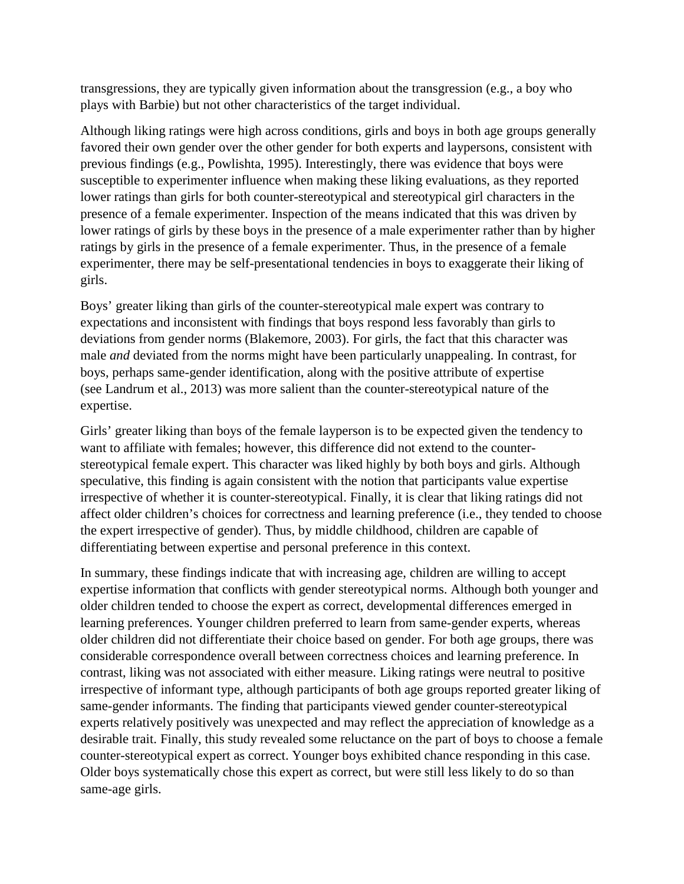transgressions, they are typically given information about the transgression (e.g., a boy who plays with Barbie) but not other characteristics of the target individual.

Although liking ratings were high across conditions, girls and boys in both age groups generally favored their own gender over the other gender for both experts and laypersons, consistent with previous findings (e.g., Powlishta, 1995). Interestingly, there was evidence that boys were susceptible to experimenter influence when making these liking evaluations, as they reported lower ratings than girls for both counter-stereotypical and stereotypical girl characters in the presence of a female experimenter. Inspection of the means indicated that this was driven by lower ratings of girls by these boys in the presence of a male experimenter rather than by higher ratings by girls in the presence of a female experimenter. Thus, in the presence of a female experimenter, there may be self-presentational tendencies in boys to exaggerate their liking of girls.

Boys' greater liking than girls of the counter-stereotypical male expert was contrary to expectations and inconsistent with findings that boys respond less favorably than girls to deviations from gender norms (Blakemore, 2003). For girls, the fact that this character was male *and* deviated from the norms might have been particularly unappealing. In contrast, for boys, perhaps same-gender identification, along with the positive attribute of expertise (see Landrum et al., 2013) was more salient than the counter-stereotypical nature of the expertise.

Girls' greater liking than boys of the female layperson is to be expected given the tendency to want to affiliate with females; however, this difference did not extend to the counterstereotypical female expert. This character was liked highly by both boys and girls. Although speculative, this finding is again consistent with the notion that participants value expertise irrespective of whether it is counter-stereotypical. Finally, it is clear that liking ratings did not affect older children's choices for correctness and learning preference (i.e., they tended to choose the expert irrespective of gender). Thus, by middle childhood, children are capable of differentiating between expertise and personal preference in this context.

In summary, these findings indicate that with increasing age, children are willing to accept expertise information that conflicts with gender stereotypical norms. Although both younger and older children tended to choose the expert as correct, developmental differences emerged in learning preferences. Younger children preferred to learn from same-gender experts, whereas older children did not differentiate their choice based on gender. For both age groups, there was considerable correspondence overall between correctness choices and learning preference. In contrast, liking was not associated with either measure. Liking ratings were neutral to positive irrespective of informant type, although participants of both age groups reported greater liking of same-gender informants. The finding that participants viewed gender counter-stereotypical experts relatively positively was unexpected and may reflect the appreciation of knowledge as a desirable trait. Finally, this study revealed some reluctance on the part of boys to choose a female counter-stereotypical expert as correct. Younger boys exhibited chance responding in this case. Older boys systematically chose this expert as correct, but were still less likely to do so than same-age girls.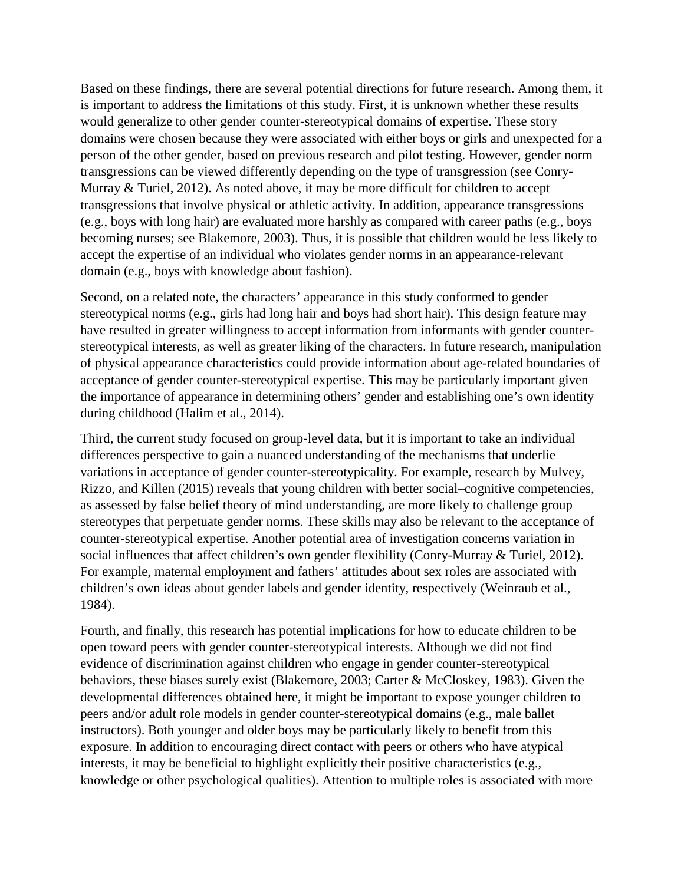Based on these findings, there are several potential directions for future research. Among them, it is important to address the limitations of this study. First, it is unknown whether these results would generalize to other gender counter-stereotypical domains of expertise. These story domains were chosen because they were associated with either boys or girls and unexpected for a person of the other gender, based on previous research and pilot testing. However, gender norm transgressions can be viewed differently depending on the type of transgression (see Conry-Murray & Turiel, 2012). As noted above, it may be more difficult for children to accept transgressions that involve physical or athletic activity. In addition, appearance transgressions (e.g., boys with long hair) are evaluated more harshly as compared with career paths (e.g., boys becoming nurses; see Blakemore, 2003). Thus, it is possible that children would be less likely to accept the expertise of an individual who violates gender norms in an appearance-relevant domain (e.g., boys with knowledge about fashion).

Second, on a related note, the characters' appearance in this study conformed to gender stereotypical norms (e.g., girls had long hair and boys had short hair). This design feature may have resulted in greater willingness to accept information from informants with gender counterstereotypical interests, as well as greater liking of the characters. In future research, manipulation of physical appearance characteristics could provide information about age-related boundaries of acceptance of gender counter-stereotypical expertise. This may be particularly important given the importance of appearance in determining others' gender and establishing one's own identity during childhood (Halim et al., 2014).

Third, the current study focused on group-level data, but it is important to take an individual differences perspective to gain a nuanced understanding of the mechanisms that underlie variations in acceptance of gender counter-stereotypicality. For example, research by Mulvey, Rizzo, and Killen (2015) reveals that young children with better social–cognitive competencies, as assessed by false belief theory of mind understanding, are more likely to challenge group stereotypes that perpetuate gender norms. These skills may also be relevant to the acceptance of counter-stereotypical expertise. Another potential area of investigation concerns variation in social influences that affect children's own gender flexibility (Conry-Murray & Turiel, 2012). For example, maternal employment and fathers' attitudes about sex roles are associated with children's own ideas about gender labels and gender identity, respectively (Weinraub et al., 1984).

Fourth, and finally, this research has potential implications for how to educate children to be open toward peers with gender counter-stereotypical interests. Although we did not find evidence of discrimination against children who engage in gender counter-stereotypical behaviors, these biases surely exist (Blakemore, 2003; Carter & McCloskey, 1983). Given the developmental differences obtained here, it might be important to expose younger children to peers and/or adult role models in gender counter-stereotypical domains (e.g., male ballet instructors). Both younger and older boys may be particularly likely to benefit from this exposure. In addition to encouraging direct contact with peers or others who have atypical interests, it may be beneficial to highlight explicitly their positive characteristics (e.g., knowledge or other psychological qualities). Attention to multiple roles is associated with more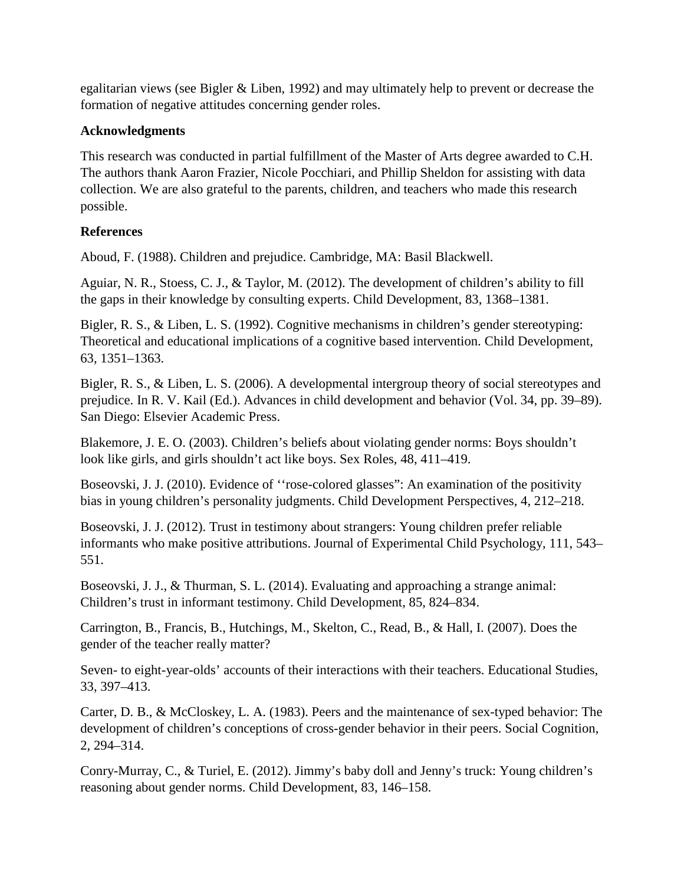egalitarian views (see Bigler & Liben, 1992) and may ultimately help to prevent or decrease the formation of negative attitudes concerning gender roles.

### **Acknowledgments**

This research was conducted in partial fulfillment of the Master of Arts degree awarded to C.H. The authors thank Aaron Frazier, Nicole Pocchiari, and Phillip Sheldon for assisting with data collection. We are also grateful to the parents, children, and teachers who made this research possible.

## **References**

Aboud, F. (1988). Children and prejudice. Cambridge, MA: Basil Blackwell.

Aguiar, N. R., Stoess, C. J., & Taylor, M. (2012). The development of children's ability to fill the gaps in their knowledge by consulting experts. Child Development, 83, 1368–1381.

Bigler, R. S., & Liben, L. S. (1992). Cognitive mechanisms in children's gender stereotyping: Theoretical and educational implications of a cognitive based intervention. Child Development, 63, 1351–1363.

Bigler, R. S., & Liben, L. S. (2006). A developmental intergroup theory of social stereotypes and prejudice. In R. V. Kail (Ed.). Advances in child development and behavior (Vol. 34, pp. 39–89). San Diego: Elsevier Academic Press.

Blakemore, J. E. O. (2003). Children's beliefs about violating gender norms: Boys shouldn't look like girls, and girls shouldn't act like boys. Sex Roles, 48, 411–419.

Boseovski, J. J. (2010). Evidence of ''rose-colored glasses": An examination of the positivity bias in young children's personality judgments. Child Development Perspectives, 4, 212–218.

Boseovski, J. J. (2012). Trust in testimony about strangers: Young children prefer reliable informants who make positive attributions. Journal of Experimental Child Psychology, 111, 543– 551.

Boseovski, J. J., & Thurman, S. L. (2014). Evaluating and approaching a strange animal: Children's trust in informant testimony. Child Development, 85, 824–834.

Carrington, B., Francis, B., Hutchings, M., Skelton, C., Read, B., & Hall, I. (2007). Does the gender of the teacher really matter?

Seven- to eight-year-olds' accounts of their interactions with their teachers. Educational Studies, 33, 397–413.

Carter, D. B., & McCloskey, L. A. (1983). Peers and the maintenance of sex-typed behavior: The development of children's conceptions of cross-gender behavior in their peers. Social Cognition, 2, 294–314.

Conry-Murray, C., & Turiel, E. (2012). Jimmy's baby doll and Jenny's truck: Young children's reasoning about gender norms. Child Development, 83, 146–158.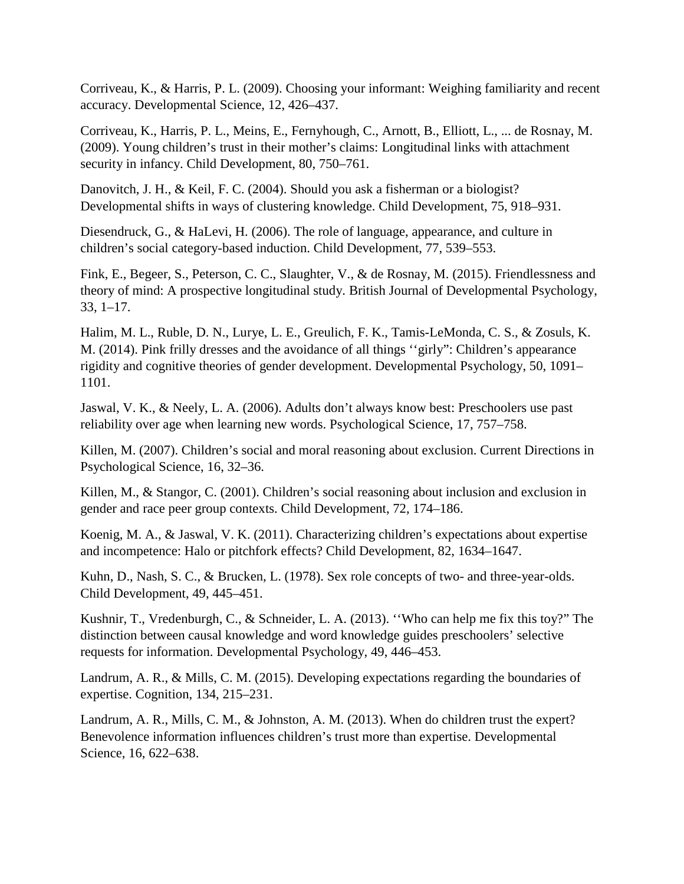Corriveau, K., & Harris, P. L. (2009). Choosing your informant: Weighing familiarity and recent accuracy. Developmental Science, 12, 426–437.

Corriveau, K., Harris, P. L., Meins, E., Fernyhough, C., Arnott, B., Elliott, L., ... de Rosnay, M. (2009). Young children's trust in their mother's claims: Longitudinal links with attachment security in infancy. Child Development, 80, 750–761.

Danovitch, J. H., & Keil, F. C. (2004). Should you ask a fisherman or a biologist? Developmental shifts in ways of clustering knowledge. Child Development, 75, 918–931.

Diesendruck, G., & HaLevi, H. (2006). The role of language, appearance, and culture in children's social category-based induction. Child Development, 77, 539–553.

Fink, E., Begeer, S., Peterson, C. C., Slaughter, V., & de Rosnay, M. (2015). Friendlessness and theory of mind: A prospective longitudinal study. British Journal of Developmental Psychology, 33, 1–17.

Halim, M. L., Ruble, D. N., Lurye, L. E., Greulich, F. K., Tamis-LeMonda, C. S., & Zosuls, K. M. (2014). Pink frilly dresses and the avoidance of all things ''girly": Children's appearance rigidity and cognitive theories of gender development. Developmental Psychology, 50, 1091– 1101.

Jaswal, V. K., & Neely, L. A. (2006). Adults don't always know best: Preschoolers use past reliability over age when learning new words. Psychological Science, 17, 757–758.

Killen, M. (2007). Children's social and moral reasoning about exclusion. Current Directions in Psychological Science, 16, 32–36.

Killen, M., & Stangor, C. (2001). Children's social reasoning about inclusion and exclusion in gender and race peer group contexts. Child Development, 72, 174–186.

Koenig, M. A., & Jaswal, V. K. (2011). Characterizing children's expectations about expertise and incompetence: Halo or pitchfork effects? Child Development, 82, 1634–1647.

Kuhn, D., Nash, S. C., & Brucken, L. (1978). Sex role concepts of two- and three-year-olds. Child Development, 49, 445–451.

Kushnir, T., Vredenburgh, C., & Schneider, L. A. (2013). ''Who can help me fix this toy?" The distinction between causal knowledge and word knowledge guides preschoolers' selective requests for information. Developmental Psychology, 49, 446–453.

Landrum, A. R., & Mills, C. M. (2015). Developing expectations regarding the boundaries of expertise. Cognition, 134, 215–231.

Landrum, A. R., Mills, C. M., & Johnston, A. M. (2013). When do children trust the expert? Benevolence information influences children's trust more than expertise. Developmental Science, 16, 622–638.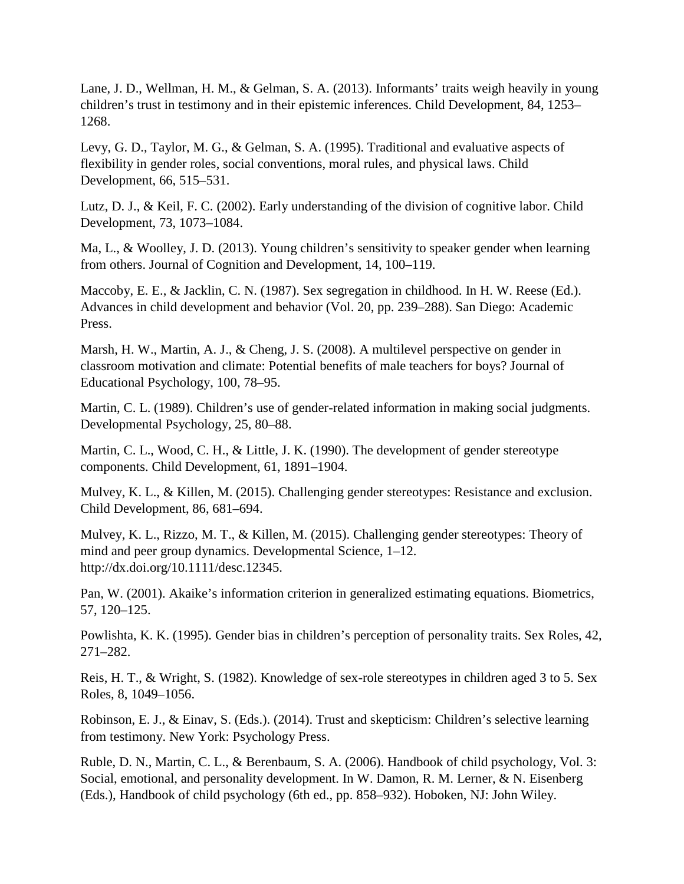Lane, J. D., Wellman, H. M., & Gelman, S. A. (2013). Informants' traits weigh heavily in young children's trust in testimony and in their epistemic inferences. Child Development, 84, 1253– 1268.

Levy, G. D., Taylor, M. G., & Gelman, S. A. (1995). Traditional and evaluative aspects of flexibility in gender roles, social conventions, moral rules, and physical laws. Child Development, 66, 515–531.

Lutz, D. J., & Keil, F. C. (2002). Early understanding of the division of cognitive labor. Child Development, 73, 1073–1084.

Ma, L., & Woolley, J. D. (2013). Young children's sensitivity to speaker gender when learning from others. Journal of Cognition and Development, 14, 100–119.

Maccoby, E. E., & Jacklin, C. N. (1987). Sex segregation in childhood. In H. W. Reese (Ed.). Advances in child development and behavior (Vol. 20, pp. 239–288). San Diego: Academic Press.

Marsh, H. W., Martin, A. J., & Cheng, J. S. (2008). A multilevel perspective on gender in classroom motivation and climate: Potential benefits of male teachers for boys? Journal of Educational Psychology, 100, 78–95.

Martin, C. L. (1989). Children's use of gender-related information in making social judgments. Developmental Psychology, 25, 80–88.

Martin, C. L., Wood, C. H., & Little, J. K. (1990). The development of gender stereotype components. Child Development, 61, 1891–1904.

Mulvey, K. L., & Killen, M. (2015). Challenging gender stereotypes: Resistance and exclusion. Child Development, 86, 681–694.

Mulvey, K. L., Rizzo, M. T., & Killen, M. (2015). Challenging gender stereotypes: Theory of mind and peer group dynamics. Developmental Science, 1–12. http://dx.doi.org/10.1111/desc.12345.

Pan, W. (2001). Akaike's information criterion in generalized estimating equations. Biometrics, 57, 120–125.

Powlishta, K. K. (1995). Gender bias in children's perception of personality traits. Sex Roles, 42, 271–282.

Reis, H. T., & Wright, S. (1982). Knowledge of sex-role stereotypes in children aged 3 to 5. Sex Roles, 8, 1049–1056.

Robinson, E. J., & Einav, S. (Eds.). (2014). Trust and skepticism: Children's selective learning from testimony. New York: Psychology Press.

Ruble, D. N., Martin, C. L., & Berenbaum, S. A. (2006). Handbook of child psychology, Vol. 3: Social, emotional, and personality development. In W. Damon, R. M. Lerner, & N. Eisenberg (Eds.), Handbook of child psychology (6th ed., pp. 858–932). Hoboken, NJ: John Wiley.